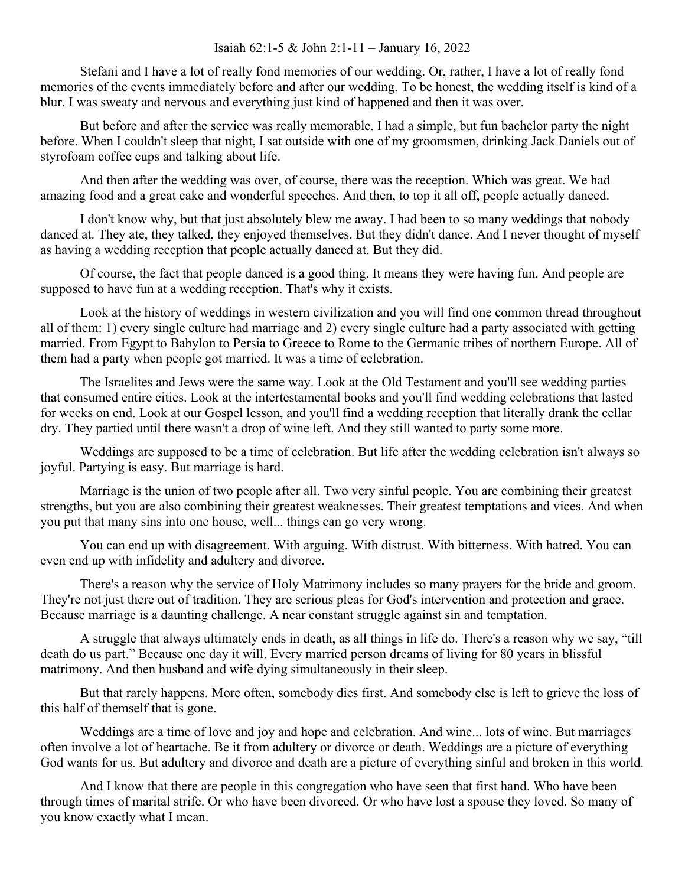## Isaiah 62:1-5 & John 2:1-11 – January 16, 2022

Stefani and I have a lot of really fond memories of our wedding. Or, rather, I have a lot of really fond memories of the events immediately before and after our wedding. To be honest, the wedding itself is kind of a blur. I was sweaty and nervous and everything just kind of happened and then it was over.

But before and after the service was really memorable. I had a simple, but fun bachelor party the night before. When I couldn't sleep that night, I sat outside with one of my groomsmen, drinking Jack Daniels out of styrofoam coffee cups and talking about life.

And then after the wedding was over, of course, there was the reception. Which was great. We had amazing food and a great cake and wonderful speeches. And then, to top it all off, people actually danced.

I don't know why, but that just absolutely blew me away. I had been to so many weddings that nobody danced at. They ate, they talked, they enjoyed themselves. But they didn't dance. And I never thought of myself as having a wedding reception that people actually danced at. But they did.

Of course, the fact that people danced is a good thing. It means they were having fun. And people are supposed to have fun at a wedding reception. That's why it exists.

Look at the history of weddings in western civilization and you will find one common thread throughout all of them: 1) every single culture had marriage and 2) every single culture had a party associated with getting married. From Egypt to Babylon to Persia to Greece to Rome to the Germanic tribes of northern Europe. All of them had a party when people got married. It was a time of celebration.

The Israelites and Jews were the same way. Look at the Old Testament and you'll see wedding parties that consumed entire cities. Look at the intertestamental books and you'll find wedding celebrations that lasted for weeks on end. Look at our Gospel lesson, and you'll find a wedding reception that literally drank the cellar dry. They partied until there wasn't a drop of wine left. And they still wanted to party some more.

Weddings are supposed to be a time of celebration. But life after the wedding celebration isn't always so joyful. Partying is easy. But marriage is hard.

Marriage is the union of two people after all. Two very sinful people. You are combining their greatest strengths, but you are also combining their greatest weaknesses. Their greatest temptations and vices. And when you put that many sins into one house, well... things can go very wrong.

You can end up with disagreement. With arguing. With distrust. With bitterness. With hatred. You can even end up with infidelity and adultery and divorce.

There's a reason why the service of Holy Matrimony includes so many prayers for the bride and groom. They're not just there out of tradition. They are serious pleas for God's intervention and protection and grace. Because marriage is a daunting challenge. A near constant struggle against sin and temptation.

A struggle that always ultimately ends in death, as all things in life do. There's a reason why we say, "till death do us part." Because one day it will. Every married person dreams of living for 80 years in blissful matrimony. And then husband and wife dying simultaneously in their sleep.

But that rarely happens. More often, somebody dies first. And somebody else is left to grieve the loss of this half of themself that is gone.

Weddings are a time of love and joy and hope and celebration. And wine... lots of wine. But marriages often involve a lot of heartache. Be it from adultery or divorce or death. Weddings are a picture of everything God wants for us. But adultery and divorce and death are a picture of everything sinful and broken in this world.

And I know that there are people in this congregation who have seen that first hand. Who have been through times of marital strife. Or who have been divorced. Or who have lost a spouse they loved. So many of you know exactly what I mean.